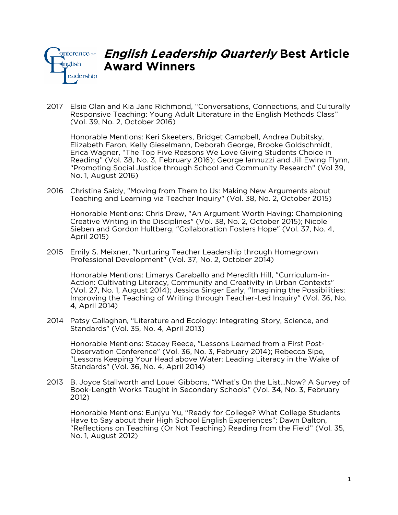

## *English Leadership Quarterly Best Article Award Winners*

2017 Elsie Olan and Kia Jane Richmond, "Conversations, Connections, and Culturally Responsive Teaching: Young Adult Literature in the English Methods Class" (Vol. 39, No. 2, October 2016)

Honorable Mentions: Keri Skeeters, Bridget Campbell, Andrea Dubitsky, Elizabeth Faron, Kelly Gieselmann, Deborah George, Brooke Goldschmidt, Erica Wagner, "The Top Five Reasons We Love Giving Students Choice in Reading" (Vol. 38, No. 3, February 2016); George Iannuzzi and Jill Ewing Flynn, "Promoting Social Justice through School and Community Research" (Vol 39, No. 1, August 2016)

2016 Christina Saidy, "Moving from Them to Us: Making New Arguments about Teaching and Learning via Teacher Inquiry" (Vol. 38, No. 2, October 2015)

Honorable Mentions: Chris Drew, "An Argument Worth Having: Championing Creative Writing in the Disciplines" (Vol. 38, No. 2, October 2015); Nicole Sieben and Gordon Hultberg, "Collaboration Fosters Hope" (Vol. 37, No. 4, April 2015)

2015 Emily S. Meixner, "Nurturing Teacher Leadership through Homegrown Professional Development" (Vol. 37, No. 2, October 2014)

Honorable Mentions: Limarys Caraballo and Meredith Hill, "Curriculum-in-Action: Cultivating Literacy, Community and Creativity in Urban Contexts" (Vol. 27, No. 1, August 2014); Jessica Singer Early, "Imagining the Possibilities: Improving the Teaching of Writing through Teacher-Led Inquiry" (Vol. 36, No. 4, April 2014)

2014 Patsy Callaghan, "Literature and Ecology: Integrating Story, Science, and Standards" (Vol. 35, No. 4, April 2013)

Honorable Mentions: Stacey Reece, "Lessons Learned from a First Post-Observation Conference" (Vol. 36, No. 3, February 2014); Rebecca Sipe, "Lessons Keeping Your Head above Water: Leading Literacy in the Wake of Standards" (Vol. 36, No. 4, April 2014)

2013 B. Joyce Stallworth and Louel Gibbons, "What's On the List…Now? A Survey of Book-Length Works Taught in Secondary Schools" (Vol. 34, No. 3, February 2012)

Honorable Mentions: Eunjyu Yu, "Ready for College? What College Students Have to Say about their High School English Experiences"; Dawn Dalton, "Reflections on Teaching (Or Not Teaching) Reading from the Field" (Vol. 35, No. 1, August 2012)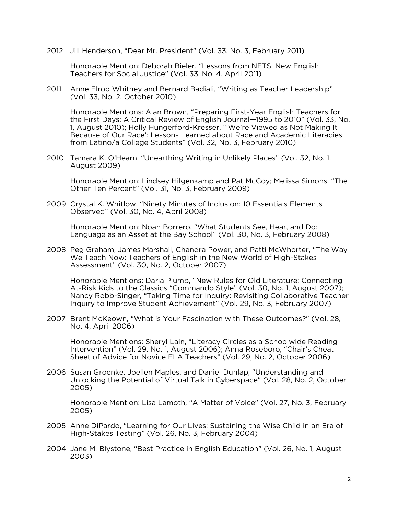2012 Jill Henderson, "Dear Mr. President" (Vol. 33, No. 3, February 2011)

Honorable Mention: Deborah Bieler, "Lessons from NETS: New English Teachers for Social Justice" (Vol. 33, No. 4, April 2011)

2011 Anne Elrod Whitney and Bernard Badiali, "Writing as Teacher Leadership" (Vol. 33, No. 2, October 2010)

Honorable Mentions: Alan Brown, "Preparing First-Year English Teachers for the First Days: A Critical Review of English Journal—1995 to 2010" (Vol. 33, No. 1, August 2010); Holly Hungerford-Kresser, "'We're Viewed as Not Making It Because of Our Race': Lessons Learned about Race and Academic Literacies from Latino/a College Students" (Vol. 32, No. 3, February 2010)

2010 Tamara K. O'Hearn, "Unearthing Writing in Unlikely Places" (Vol. 32, No. 1, August 2009)

Honorable Mention: Lindsey Hilgenkamp and Pat McCoy; Melissa Simons, "The Other Ten Percent" (Vol. 31, No. 3, February 2009)

2009 Crystal K. Whitlow, "Ninety Minutes of Inclusion: 10 Essentials Elements Observed" (Vol. 30, No. 4, April 2008)

Honorable Mention: Noah Borrero, "What Students See, Hear, and Do: Language as an Asset at the Bay School" (Vol. 30, No. 3, February 2008)

2008 Peg Graham, James Marshall, Chandra Power, and Patti McWhorter, "The Way We Teach Now: Teachers of English in the New World of High-Stakes Assessment" (Vol. 30, No. 2, October 2007)

Honorable Mentions: Daria Plumb, "New Rules for Old Literature: Connecting At-Risk Kids to the Classics "Commando Style" (Vol. 30, No. 1, August 2007); Nancy Robb-Singer, "Taking Time for Inquiry: Revisiting Collaborative Teacher Inquiry to Improve Student Achievement" (Vol. 29, No. 3, February 2007)

2007 Brent McKeown, "What is Your Fascination with These Outcomes?" (Vol. 28, No. 4, April 2006)

Honorable Mentions: Sheryl Lain, "Literacy Circles as a Schoolwide Reading Intervention" (Vol. 29, No. 1, August 2006); Anna Roseboro, "Chair's Cheat Sheet of Advice for Novice ELA Teachers" (Vol. 29, No. 2, October 2006)

2006 Susan Groenke, Joellen Maples, and Daniel Dunlap, "Understanding and Unlocking the Potential of Virtual Talk in Cyberspace" (Vol. 28, No. 2, October 2005)

Honorable Mention: Lisa Lamoth, "A Matter of Voice" (Vol. 27, No. 3, February 2005)

- 2005 Anne DiPardo, "Learning for Our Lives: Sustaining the Wise Child in an Era of High-Stakes Testing" (Vol. 26, No. 3, February 2004)
- 2004 Jane M. Blystone, "Best Practice in English Education" (Vol. 26, No. 1, August 2003)